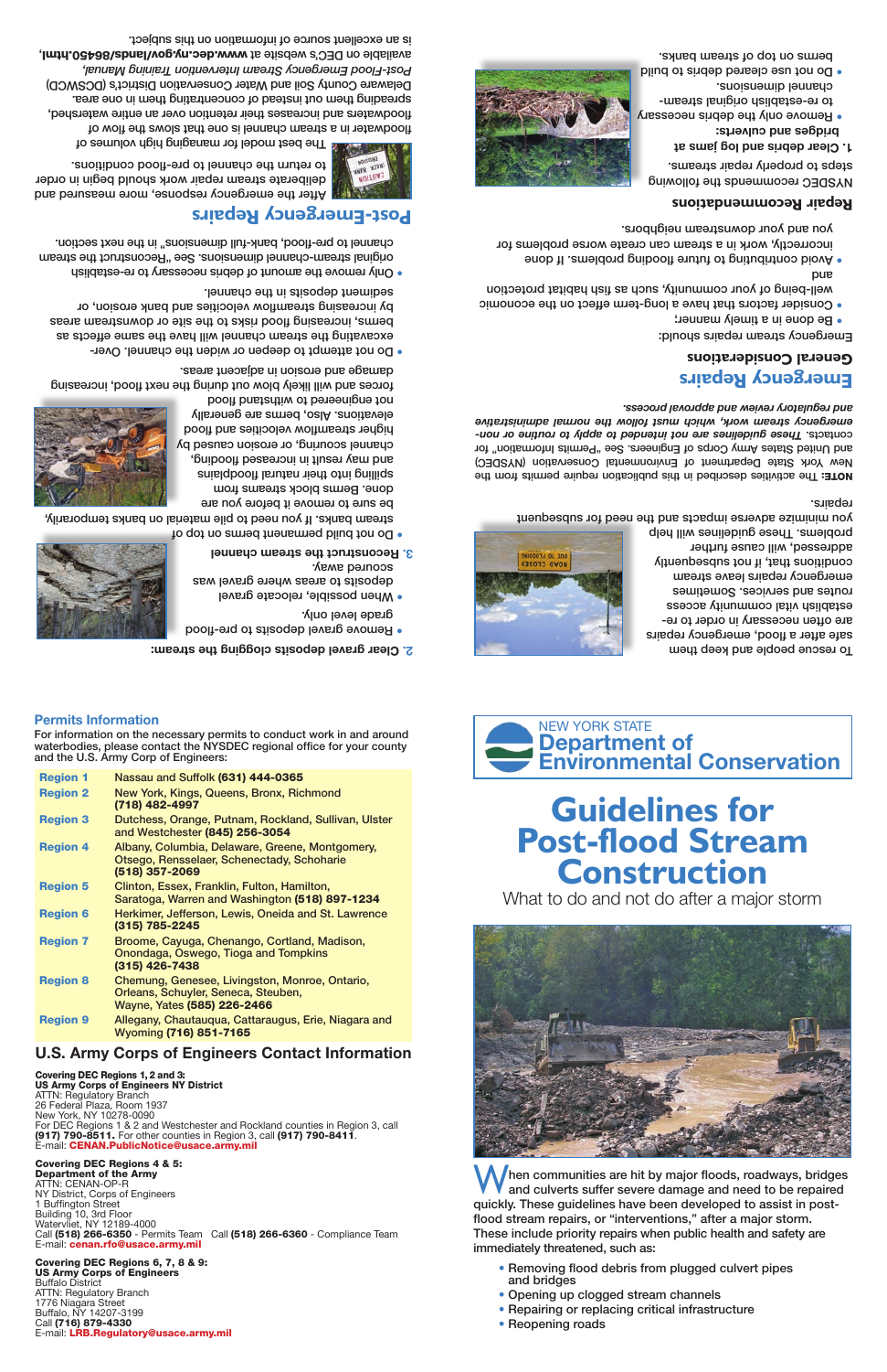# **Guidelines for Post-flood Stream Construction**

What to do and not do after a major storm





To rescue people and keep them safe after a flood, emergency repairs are often necessary in order to reestablish vital community access routes and services. Sometimes emergency repairs leave stream conditions that, if not subsequently addressed, will cause further problems. These guidebines will help

hen communities are hit by major floods, roadways, bridges and culverts suffer severe damage and need to be repaired quickly. These guidelines have been developed to assist in postflood stream repairs, or "interventions," after a major storm. These include priority repairs when public health and safety are immediately threatened, such as:

- grade level only. • When possible, relocate gravel
- deposits to areas where gravel was scoured away.
- **3. Reconstruct the stream channel**

o not build permanent berms on top of stream banks. If you need to pile material on banks temporarily,

- Removing flood debris from plugged culvert pipes and bridges
- Opening up clogged stream channels
- Repairing or replacing critical infrastructure
- Reopening roads

**stream: Clear gravel deposits clogging the 2.**

be sure to remove it before you are done. Berms block streams from spilling into their natural floodplains and may result in increased flooding, channel scouring, or erosion caused by higher streamflow velocities and flood elevations. Also, berms are generally not engineered to withstand flood

AOTE: The activities described in this publication require permits from the New York State Department of Environmental Conservation (NYSDEC) and United States Army Corps of Engineers. See "Permits Information" for *These guidelines are not intended to apply to routine or non-* contacts. *emergency stream work, which must follow the normal administrative and regulatory review and approval process.*

forces and will likely blow out during the next flood, increasing damage and erosion in adjacent areas.

- Do not attempt to deepen or widen the channel. Over excavating the stream channel will have the same effects as berms, increasing flood risks to the site or downstream areas by increasing streamflow velocities and bank erosion, or
- sediment deposits in the channel. emove the amount of debris necessary to re-establish  $\epsilon$ original stream-channel dimensions. See "Reconstruct the stream channel to pre-flood, bank-full dimensions" in the next section.

The best model for managing high volumes of floodwater in a stream channel is one that slows the flow of floodwaters and increases their retention over an entire watershed, spreading them out instead of concentrating them in one area. Delaware County Soil and Water Conservation District's (DCSWCD) *Post-Flood Emergency Stream Intervention Training Manual,* available on DEC's website at www.dec.ny.gov/lands/86450.html, is an excellent source of information on this subject.



you minimize adverse impacts and the need for subsequent repairs.

### **Emergency Repairs General Considerations**

Emergency stream repairs should:

- Be done in a timely manner; •
- Consider factors that have a long-term effect on the economic well-being of your community, such as fish habitat protection pue
- void contributing to terming to proplems if and  $\bullet$ incorrectly, work in a stream can create worse problems for you and your downstream neighbors.

#### **Repair Recommendations**

NYSDEC recommends the following steps to properly repair streams.

- **Clear debris and log jams at 1.**
- **bridges and culverts:** • Remove only the debris necessary -meenta lanigino daildatee-en of
- channel dimensions. bliud of andeb benselo eau fon od • berms on top of stream banks.



# **Post-Emergency Repairs**

**UNTUA**<sub>3</sub>

After the emergency response, more measured and deliberate stream repair work should begin in order to return the channel to pre-flood conditions.

#### **Permits Information**

For information on the necessary permits to conduct work in and around waterbodies, please contact the NYSDEC regional office for your county and the U.S. Army Corp of Engineers:

Region 1 Nassau and Suffolk (631) 444-0365





. Remove gravel deposits to pre-flood

- Region 2 New York, Kings, Queens, Bronx, Richmond (718) 482-4997 Region 3 Dutchess, Orange, Putnam, Rockland, Sullivan, Ulster and Westchester (845) 256-3054 Region 4 Albany, Columbia, Delaware, Greene, Montgomery,
- 

|                 | Otsego, Rensselaer, Schenectady, Schoharie<br>(518) 357-2069                                                         |
|-----------------|----------------------------------------------------------------------------------------------------------------------|
| <b>Region 5</b> | Clinton, Essex, Franklin, Fulton, Hamilton,<br>Saratoga, Warren and Washington (518) 897-1234                        |
| <b>Region 6</b> | Herkimer, Jefferson, Lewis, Oneida and St. Lawrence<br>$(315)$ 785-2245                                              |
| <b>Region 7</b> | Broome, Cayuga, Chenango, Cortland, Madison,<br>Onondaga, Oswego, Tioga and Tompkins<br>$(315)$ 426-7438             |
| <b>Region 8</b> | Chemung, Genesee, Livingston, Monroe, Ontario,<br>Orleans, Schuyler, Seneca, Steuben,<br>Wayne, Yates (585) 226-2466 |
|                 |                                                                                                                      |

Region 9 Allegany, Chautauqua, Cattaraugus, Erie, Niagara and Wyoming (716) 851-7165

#### **U.S. Army Corps of Engineers Contact Information**

Covering DEC Regions 1, 2 and 3: US Army Corps of Engineers NY District ATTN: Regulatory Branch 26 Federal Plaza, Room 1937 New York, NY 10278-0090 For DEC Regions 1 & 2 and Westchester and Rockland counties in Region 3, call (917) 790-8511. For other counties in Region 3, call (917) 790-8411. E-mail: CENAN.PublicNotice@usace.army.mil

#### Covering DEC Regions 4 & 5:

Department of the Army ATTN: CENAN-OP-R NY District, Corps of Engineers 1 Buffington Street Building 10, 3rd Floor Watervliet, NY 12189-4000 Call (518) 266-6350 - Permits Team Call (518) 266-6360 - Compliance Team E-mail: cenan.rfo@usace.army.mil

#### Covering DEC Regions 6, 7, 8 & 9: US Army Corps of Engineers

Buffalo District ATTN: Regulatory Branch 1776 Niagara Street Buffalo, NY 14207-3199 Call (716) 879-4330 E-mail: LRB.Regulatory@usace.army.mil